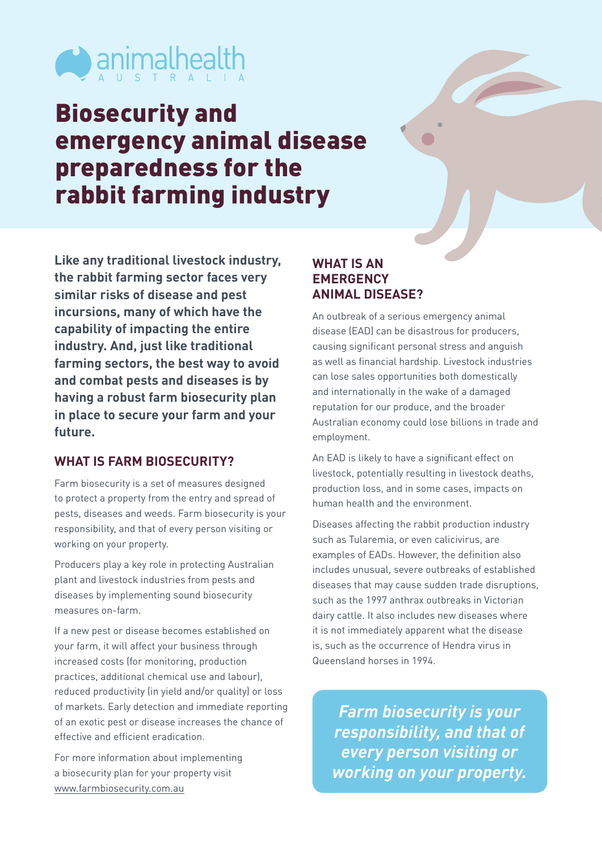

## Biosecurity and emergency animal disease preparedness for the rabbit farming industry

**Like any traditional livestock industry, the rabbit farming sector faces very similar risks of disease and pest incursions, many of which have the capability of impacting the entire industry. And, just like traditional farming sectors, the best way to avoid and combat pests and diseases is by having a robust farm biosecurity plan in place to secure your farm and your future.**

## **WHAT IS FARM BIOSECURITY?**

Farm biosecurity is a set of measures designed to protect a property from the entry and spread of pests, diseases and weeds. Farm biosecurity is your responsibility, and that of every person visiting or working on your property.

Producers play a key role in protecting Australian plant and livestock industries from pests and diseases by implementing sound biosecurity measures on-farm.

If a new pest or disease becomes established on your farm, it will affect your business through increased costs (for monitoring, production practices, additional chemical use and labour), reduced productivity (in yield and/or quality) or loss of markets. Early detection and immediate reporting of an exotic pest or disease increases the chance of effective and efficient eradication.

For more information about implementing a biosecurity plan for your property visit [www.farmbiosecurity.com.au](http://www.farmbiosecurity.com.au)

## **WHAT IS AN EMERGENCY ANIMAL DISEASE?**

An outbreak of a serious emergency animal disease (EAD) can be disastrous for producers, causing significant personal stress and anguish as well as financial hardship. Livestock industries can lose sales opportunities both domestically and internationally in the wake of a damaged reputation for our produce, and the broader Australian economy could lose billions in trade and employment.

An EAD is likely to have a significant effect on livestock, potentially resulting in livestock deaths, production loss, and in some cases, impacts on human health and the environment.

Diseases affecting the rabbit production industry such as Tularemia, or even calicivirus, are examples of EADs. However, the definition also includes unusual, severe outbreaks of established diseases that may cause sudden trade disruptions, such as the 1997 anthrax outbreaks in Victorian dairy cattle. It also includes new diseases where it is not immediately apparent what the disease is, such as the occurrence of Hendra virus in Queensland horses in 1994.

*Farm biosecurity is your responsibility, and that of every person visiting or working on your property.*